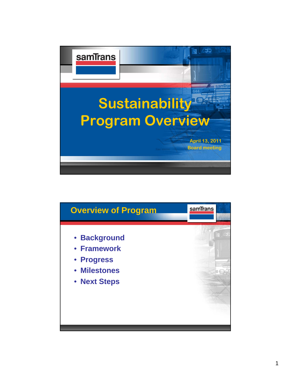

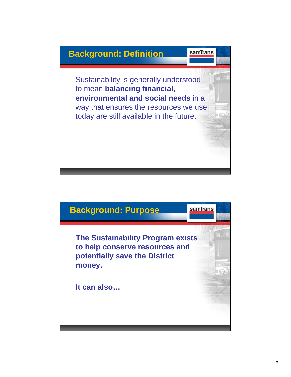## **Background: Definition**

samTrans

Sustainability is generally understood to mean **balancing financial, environmental and social needs** in a way that ensures the resources we use today are still available in the future.

## **Background: Purpose** samTrans **The Sustainability Program exists to help conserve resources and potentially save the District money. It can also…**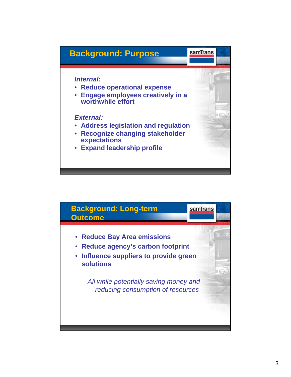

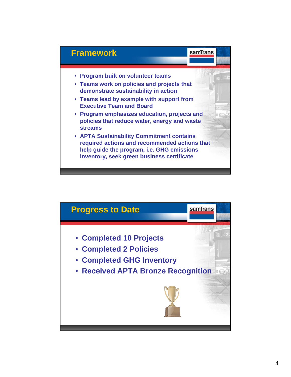

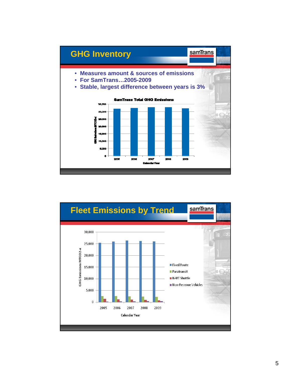

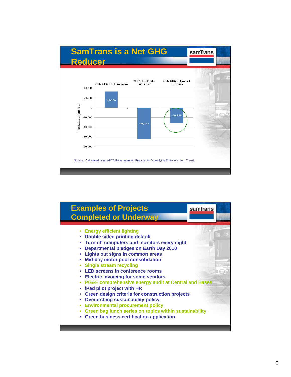

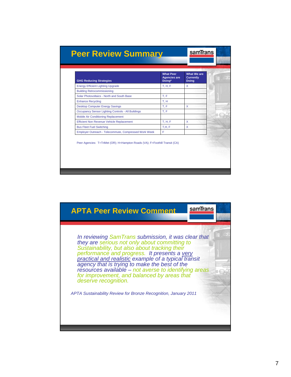| Doing*<br>T, H, F | <b>Doing</b><br>X |
|-------------------|-------------------|
|                   |                   |
|                   |                   |
| T.F               |                   |
| T, H              |                   |
| T.F               | X                 |
| T.F               |                   |
|                   |                   |
| T. H. F.          | X                 |
| T.H.F             | X                 |
| F                 |                   |
|                   |                   |

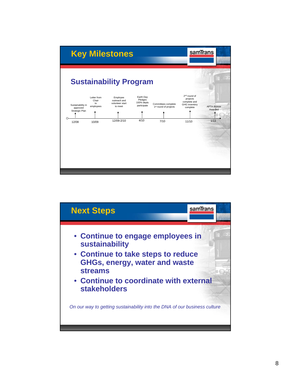

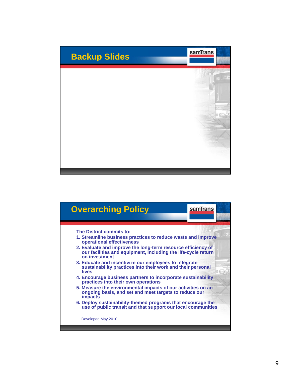